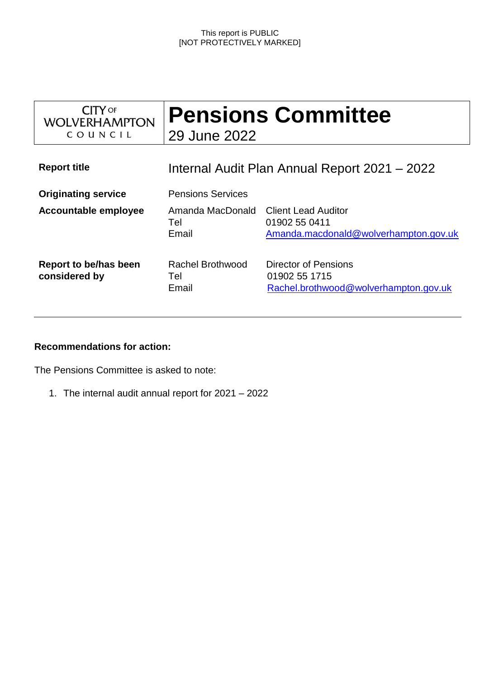#### This report is PUBLIC [NOT PROTECTIVELY MARKED]

| <b>CITY</b> OF<br><b>WOLVERHAMPTON</b><br>COUNCIL | <b>Pensions Committee</b><br>29 June 2022     |                                                                                      |
|---------------------------------------------------|-----------------------------------------------|--------------------------------------------------------------------------------------|
| <b>Report title</b>                               | Internal Audit Plan Annual Report 2021 – 2022 |                                                                                      |
| <b>Originating service</b>                        | <b>Pensions Services</b>                      |                                                                                      |
| <b>Accountable employee</b>                       | Amanda MacDonald<br>Tel<br>Email              | <b>Client Lead Auditor</b><br>01902 55 0411<br>Amanda.macdonald@wolverhampton.gov.uk |
| Report to be/has been<br>considered by            | Rachel Brothwood<br>Tel<br>Email              | Director of Pensions<br>01902 55 1715<br>Rachel.brothwood@wolverhampton.gov.uk       |

## **Recommendations for action:**

The Pensions Committee is asked to note:

1. The internal audit annual report for 2021 – 2022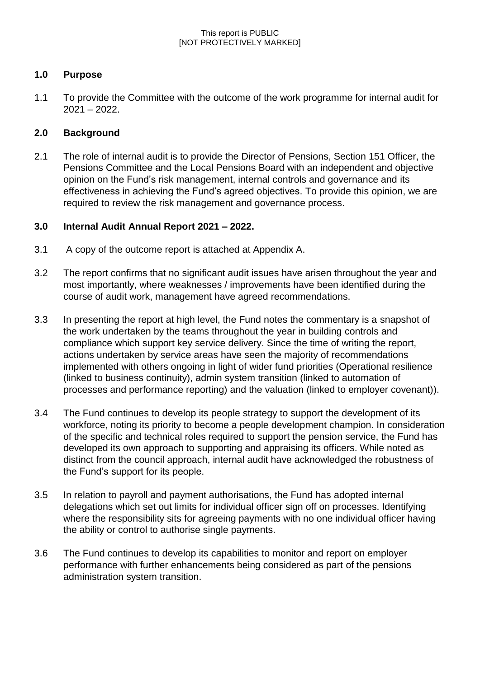# **1.0 Purpose**

1.1 To provide the Committee with the outcome of the work programme for internal audit for 2021 – 2022.

# **2.0 Background**

2.1 The role of internal audit is to provide the Director of Pensions, Section 151 Officer, the Pensions Committee and the Local Pensions Board with an independent and objective opinion on the Fund's risk management, internal controls and governance and its effectiveness in achieving the Fund's agreed objectives. To provide this opinion, we are required to review the risk management and governance process.

# **3.0 Internal Audit Annual Report 2021 – 2022.**

- 3.1 A copy of the outcome report is attached at Appendix A.
- 3.2 The report confirms that no significant audit issues have arisen throughout the year and most importantly, where weaknesses / improvements have been identified during the course of audit work, management have agreed recommendations.
- 3.3 In presenting the report at high level, the Fund notes the commentary is a snapshot of the work undertaken by the teams throughout the year in building controls and compliance which support key service delivery. Since the time of writing the report, actions undertaken by service areas have seen the majority of recommendations implemented with others ongoing in light of wider fund priorities (Operational resilience (linked to business continuity), admin system transition (linked to automation of processes and performance reporting) and the valuation (linked to employer covenant)).
- 3.4 The Fund continues to develop its people strategy to support the development of its workforce, noting its priority to become a people development champion. In consideration of the specific and technical roles required to support the pension service, the Fund has developed its own approach to supporting and appraising its officers. While noted as distinct from the council approach, internal audit have acknowledged the robustness of the Fund's support for its people.
- 3.5 In relation to payroll and payment authorisations, the Fund has adopted internal delegations which set out limits for individual officer sign off on processes. Identifying where the responsibility sits for agreeing payments with no one individual officer having the ability or control to authorise single payments.
- 3.6 The Fund continues to develop its capabilities to monitor and report on employer performance with further enhancements being considered as part of the pensions administration system transition.